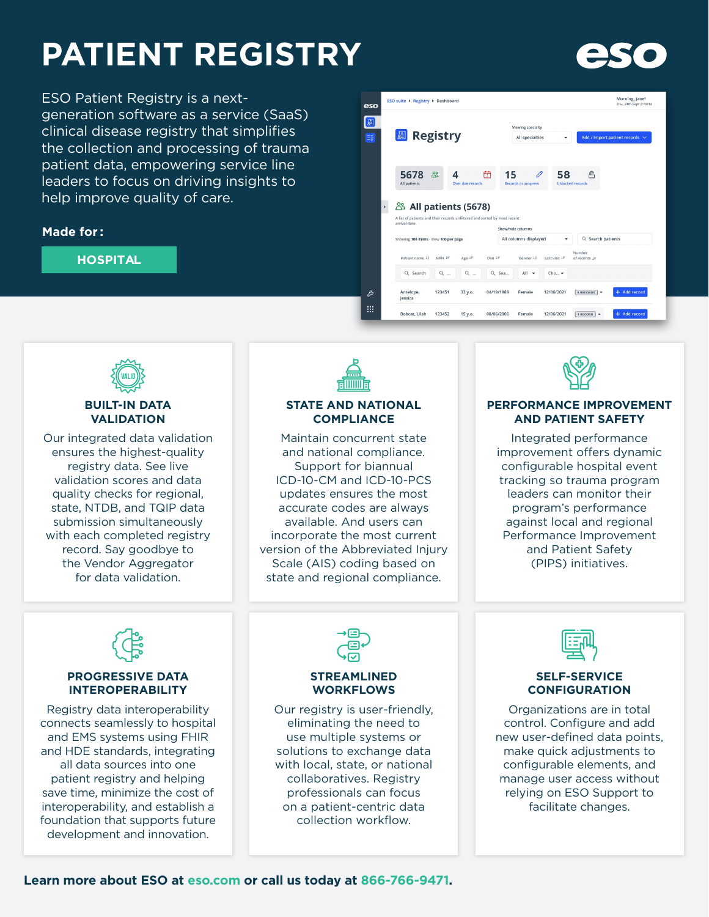# **PATIENT REGISTRY**

ESO Patient Registry is a nextgeneration software as a service (SaaS) clinical disease registry that simplifies the collection and processing of trauma patient data, empowering service line leaders to focus on driving insights to help improve quality of care.

### **Made for :**

#### **HOSPITAL**





#### **BUILT-IN DATA VALIDATION**

Our integrated data validation ensures the highest-quality registry data. See live validation scores and data quality checks for regional, state, NTDB, and TQIP data submission simultaneously with each completed registry record. Say goodbye to the Vendor Aggregator for data validation.



#### **STATE AND NATIONAL COMPLIANCE**

Maintain concurrent state and national compliance. Support for biannual ICD-10-CM and ICD-10-PCS updates ensures the most accurate codes are always available. And users can incorporate the most current version of the Abbreviated Injury Scale (AIS) coding based on state and regional compliance.



#### **PERFORMANCE IMPROVEMENT AND PATIENT SAFETY**

Integrated performance improvement offers dynamic configurable hospital event tracking so trauma program leaders can monitor their program's performance against local and regional Performance Improvement and Patient Safety (PIPS) initiatives.

#### **PROGRESSIVE DATA INTEROPERABILITY**

Registry data interoperability connects seamlessly to hospital and EMS systems using FHIR and HDE standards, integrating all data sources into one patient registry and helping save time, minimize the cost of interoperability, and establish a foundation that supports future development and innovation.



#### **STREAMLINED WORKFLOWS**

Our registry is user-friendly, eliminating the need to use multiple systems or solutions to exchange data with local, state, or national collaboratives. Registry professionals can focus on a patient-centric data collection workflow.



#### **SELF-SERVICE CONFIGURATION**

Organizations are in total control. Configure and add new user-defined data points, make quick adjustments to configurable elements, and manage user access without relying on ESO Support to facilitate changes.